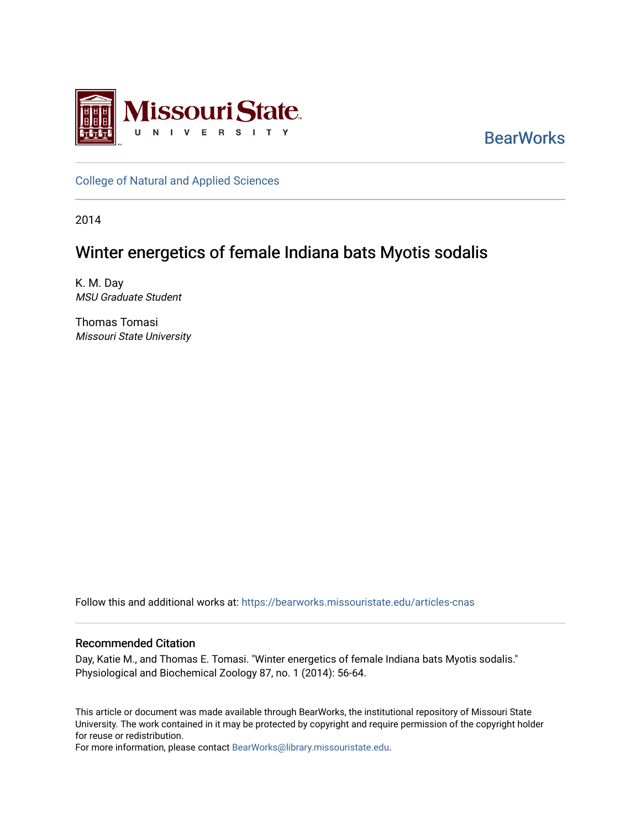

**BearWorks** 

[College of Natural and Applied Sciences](https://bearworks.missouristate.edu/articles-cnas)

2014

# Winter energetics of female Indiana bats Myotis sodalis

K. M. Day MSU Graduate Student

Thomas Tomasi Missouri State University

Follow this and additional works at: [https://bearworks.missouristate.edu/articles-cnas](https://bearworks.missouristate.edu/articles-cnas?utm_source=bearworks.missouristate.edu%2Farticles-cnas%2F144&utm_medium=PDF&utm_campaign=PDFCoverPages) 

## Recommended Citation

Day, Katie M., and Thomas E. Tomasi. "Winter energetics of female Indiana bats Myotis sodalis." Physiological and Biochemical Zoology 87, no. 1 (2014): 56-64.

This article or document was made available through BearWorks, the institutional repository of Missouri State University. The work contained in it may be protected by copyright and require permission of the copyright holder for reuse or redistribution.

For more information, please contact [BearWorks@library.missouristate.edu.](mailto:BearWorks@library.missouristate.edu)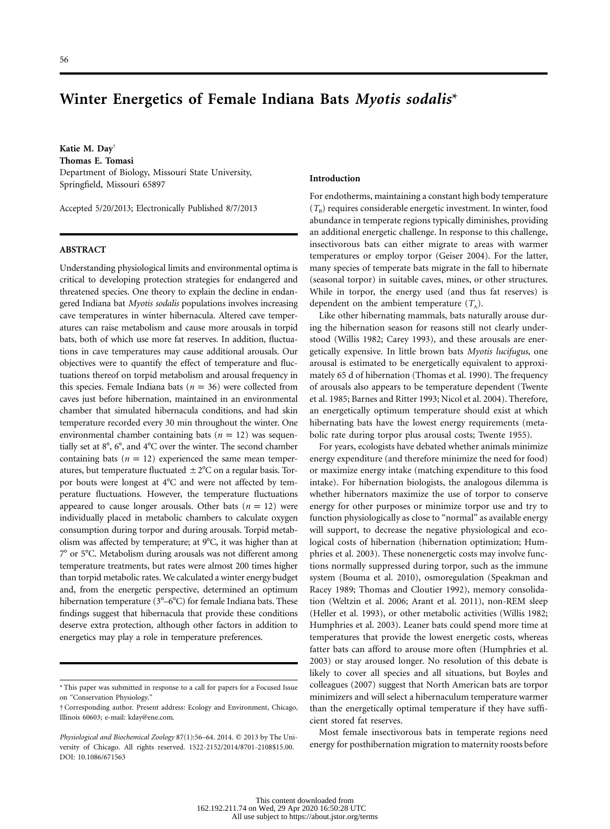## **Winter Energetics of Female Indiana Bats** *Myotis sodalis*\*

**Katie M. Day**† **Thomas E. Tomasi** Department of Biology, Missouri State University, Springfield, Missouri 65897

Accepted 5/20/2013; Electronically Published 8/7/2013

## **ABSTRACT**

Understanding physiological limits and environmental optima is critical to developing protection strategies for endangered and threatened species. One theory to explain the decline in endangered Indiana bat *Myotis sodalis* populations involves increasing cave temperatures in winter hibernacula. Altered cave temperatures can raise metabolism and cause more arousals in torpid bats, both of which use more fat reserves. In addition, fluctuations in cave temperatures may cause additional arousals. Our objectives were to quantify the effect of temperature and fluctuations thereof on torpid metabolism and arousal frequency in this species. Female Indiana bats ( $n = 36$ ) were collected from caves just before hibernation, maintained in an environmental chamber that simulated hibernacula conditions, and had skin temperature recorded every 30 min throughout the winter. One environmental chamber containing bats  $(n = 12)$  was sequentially set at  $8^\circ$ ,  $6^\circ$ , and  $4^\circ$ C over the winter. The second chamber containing bats  $(n = 12)$  experienced the same mean temperatures, but temperature fluctuated  $\pm 2^{\circ}$ C on a regular basis. Torpor bouts were longest at  $4^{\circ}$ C and were not affected by temperature fluctuations. However, the temperature fluctuations appeared to cause longer arousals. Other bats  $(n = 12)$  were individually placed in metabolic chambers to calculate oxygen consumption during torpor and during arousals. Torpid metabolism was affected by temperature; at  $9^{\circ}$ C, it was higher than at 7° or 5°C. Metabolism during arousals was not different among temperature treatments, but rates were almost 200 times higher than torpid metabolic rates. We calculated a winter energy budget and, from the energetic perspective, determined an optimum hibernation temperature ( $3^{\circ}-6^{\circ}$ C) for female Indiana bats. These findings suggest that hibernacula that provide these conditions deserve extra protection, although other factors in addition to energetics may play a role in temperature preferences.

#### **Introduction**

For endotherms, maintaining a constant high body temperature  $(T<sub>B</sub>)$  requires considerable energetic investment. In winter, food abundance in temperate regions typically diminishes, providing an additional energetic challenge. In response to this challenge, insectivorous bats can either migrate to areas with warmer temperatures or employ torpor (Geiser 2004). For the latter, many species of temperate bats migrate in the fall to hibernate (seasonal torpor) in suitable caves, mines, or other structures. While in torpor, the energy used (and thus fat reserves) is dependent on the ambient temperature  $(T_A)$ .

Like other hibernating mammals, bats naturally arouse during the hibernation season for reasons still not clearly understood (Willis 1982; Carey 1993), and these arousals are energetically expensive. In little brown bats *Myotis lucifugus*, one arousal is estimated to be energetically equivalent to approximately 65 d of hibernation (Thomas et al. 1990). The frequency of arousals also appears to be temperature dependent (Twente et al. 1985; Barnes and Ritter 1993; Nicol et al. 2004). Therefore, an energetically optimum temperature should exist at which hibernating bats have the lowest energy requirements (metabolic rate during torpor plus arousal costs; Twente 1955).

For years, ecologists have debated whether animals minimize energy expenditure (and therefore minimize the need for food) or maximize energy intake (matching expenditure to this food intake). For hibernation biologists, the analogous dilemma is whether hibernators maximize the use of torpor to conserve energy for other purposes or minimize torpor use and try to function physiologically as close to "normal" as available energy will support, to decrease the negative physiological and ecological costs of hibernation (hibernation optimization; Humphries et al. 2003). These nonenergetic costs may involve functions normally suppressed during torpor, such as the immune system (Bouma et al. 2010), osmoregulation (Speakman and Racey 1989; Thomas and Cloutier 1992), memory consolidation (Weltzin et al. 2006; Arant et al. 2011), non-REM sleep (Heller et al. 1993), or other metabolic activities (Willis 1982; Humphries et al. 2003). Leaner bats could spend more time at temperatures that provide the lowest energetic costs, whereas fatter bats can afford to arouse more often (Humphries et al. 2003) or stay aroused longer. No resolution of this debate is likely to cover all species and all situations, but Boyles and colleagues (2007) suggest that North American bats are torpor minimizers and will select a hibernaculum temperature warmer than the energetically optimal temperature if they have sufficient stored fat reserves.

Most female insectivorous bats in temperate regions need energy for posthibernation migration to maternity roosts before

<sup>\*</sup> This paper was submitted in response to a call for papers for a Focused Issue on "Conservation Physiology."

<sup>†</sup> Corresponding author. Present address: Ecology and Environment, Chicago, Illinois 60603; e-mail: [kday@ene.com.](mailto:kday@ene.com)

Physiological and Biochemical Zoology 87(1):56-64. 2014. © 2013 by The University of Chicago. All rights reserved. 1522-2152/2014/8701-2108\$15.00. DOI: 10.1086/671563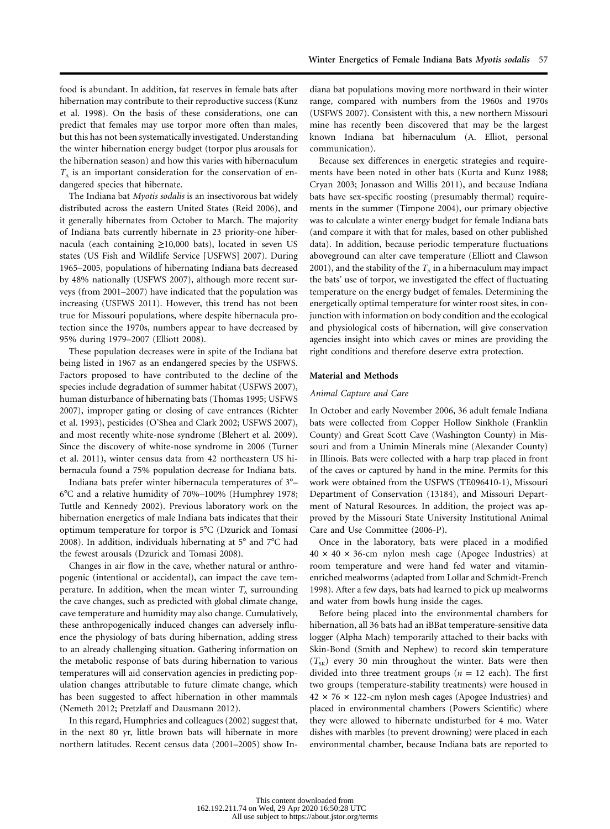food is abundant. In addition, fat reserves in female bats after hibernation may contribute to their reproductive success (Kunz et al. 1998). On the basis of these considerations, one can predict that females may use torpor more often than males, but this has not been systematically investigated. Understanding the winter hibernation energy budget (torpor plus arousals for the hibernation season) and how this varies with hibernaculum  $T_A$  is an important consideration for the conservation of endangered species that hibernate.

The Indiana bat *Myotis sodalis* is an insectivorous bat widely distributed across the eastern United States (Reid 2006), and it generally hibernates from October to March. The majority of Indiana bats currently hibernate in 23 priority-one hibernacula (each containing ≥10,000 bats), located in seven US states (US Fish and Wildlife Service [USFWS] 2007). During 1965–2005, populations of hibernating Indiana bats decreased by 48% nationally (USFWS 2007), although more recent surveys (from 2001–2007) have indicated that the population was increasing (USFWS 2011). However, this trend has not been true for Missouri populations, where despite hibernacula protection since the 1970s, numbers appear to have decreased by 95% during 1979–2007 (Elliott 2008).

These population decreases were in spite of the Indiana bat being listed in 1967 as an endangered species by the USFWS. Factors proposed to have contributed to the decline of the species include degradation of summer habitat (USFWS 2007), human disturbance of hibernating bats (Thomas 1995; USFWS 2007), improper gating or closing of cave entrances (Richter et al. 1993), pesticides (O'Shea and Clark 2002; USFWS 2007), and most recently white-nose syndrome (Blehert et al. 2009). Since the discovery of white-nose syndrome in 2006 (Turner et al. 2011), winter census data from 42 northeastern US hibernacula found a 75% population decrease for Indiana bats.

Indiana bats prefer winter hibernacula temperatures of 3– 6C and a relative humidity of 70%–100% (Humphrey 1978; Tuttle and Kennedy 2002). Previous laboratory work on the hibernation energetics of male Indiana bats indicates that their optimum temperature for torpor is 5°C (Dzurick and Tomasi 2008). In addition, individuals hibernating at  $5^{\circ}$  and  $7^{\circ}$ C had the fewest arousals (Dzurick and Tomasi 2008).

Changes in air flow in the cave, whether natural or anthropogenic (intentional or accidental), can impact the cave temperature. In addition, when the mean winter  $T_A$  surrounding the cave changes, such as predicted with global climate change, cave temperature and humidity may also change. Cumulatively, these anthropogenically induced changes can adversely influence the physiology of bats during hibernation, adding stress to an already challenging situation. Gathering information on the metabolic response of bats during hibernation to various temperatures will aid conservation agencies in predicting population changes attributable to future climate change, which has been suggested to affect hibernation in other mammals (Nemeth 2012; Pretzlaff and Dausmann 2012).

In this regard, Humphries and colleagues (2002) suggest that, in the next 80 yr, little brown bats will hibernate in more northern latitudes. Recent census data (2001–2005) show Indiana bat populations moving more northward in their winter range, compared with numbers from the 1960s and 1970s (USFWS 2007). Consistent with this, a new northern Missouri mine has recently been discovered that may be the largest known Indiana bat hibernaculum (A. Elliot, personal communication).

Because sex differences in energetic strategies and requirements have been noted in other bats (Kurta and Kunz 1988; Cryan 2003; Jonasson and Willis 2011), and because Indiana bats have sex-specific roosting (presumably thermal) requirements in the summer (Timpone 2004), our primary objective was to calculate a winter energy budget for female Indiana bats (and compare it with that for males, based on other published data). In addition, because periodic temperature fluctuations aboveground can alter cave temperature (Elliott and Clawson 2001), and the stability of the  $T_A$  in a hibernaculum may impact the bats' use of torpor, we investigated the effect of fluctuating temperature on the energy budget of females. Determining the energetically optimal temperature for winter roost sites, in conjunction with information on body condition and the ecological and physiological costs of hibernation, will give conservation agencies insight into which caves or mines are providing the right conditions and therefore deserve extra protection.

## **Material and Methods**

#### *Animal Capture and Care*

In October and early November 2006, 36 adult female Indiana bats were collected from Copper Hollow Sinkhole (Franklin County) and Great Scott Cave (Washington County) in Missouri and from a Unimin Minerals mine (Alexander County) in Illinois. Bats were collected with a harp trap placed in front of the caves or captured by hand in the mine. Permits for this work were obtained from the USFWS (TE096410-1), Missouri Department of Conservation (13184), and Missouri Department of Natural Resources. In addition, the project was approved by the Missouri State University Institutional Animal Care and Use Committee (2006-P).

Once in the laboratory, bats were placed in a modified  $40 \times 40 \times 36$ -cm nylon mesh cage (Apogee Industries) at room temperature and were hand fed water and vitaminenriched mealworms (adapted from Lollar and Schmidt-French 1998). After a few days, bats had learned to pick up mealworms and water from bowls hung inside the cages.

Before being placed into the environmental chambers for hibernation, all 36 bats had an iBBat temperature-sensitive data logger (Alpha Mach) temporarily attached to their backs with Skin-Bond (Smith and Nephew) to record skin temperature  $(T_{SK})$  every 30 min throughout the winter. Bats were then divided into three treatment groups ( $n = 12$  each). The first two groups (temperature-stability treatments) were housed in  $42 \times 76 \times 122$ -cm nylon mesh cages (Apogee Industries) and placed in environmental chambers (Powers Scientific) where they were allowed to hibernate undisturbed for 4 mo. Water dishes with marbles (to prevent drowning) were placed in each environmental chamber, because Indiana bats are reported to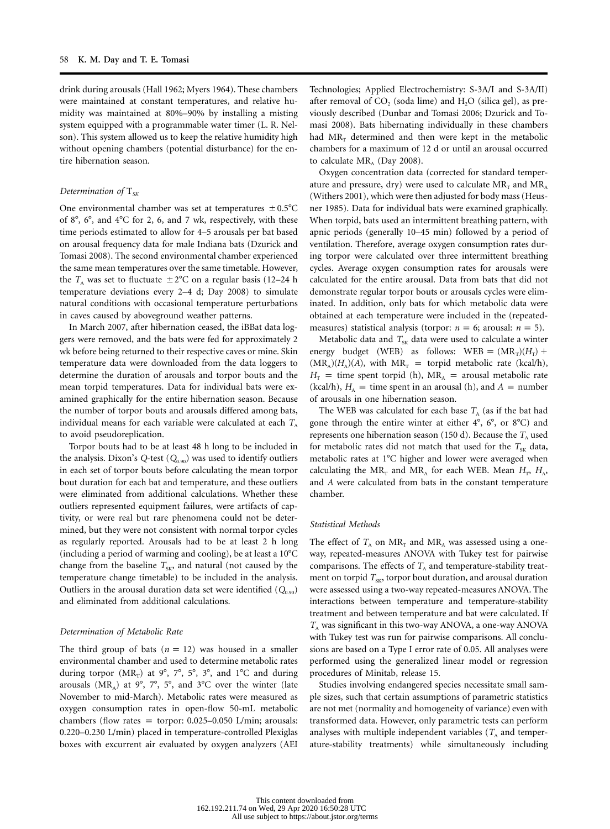drink during arousals (Hall 1962; Myers 1964). These chambers were maintained at constant temperatures, and relative humidity was maintained at 80%–90% by installing a misting system equipped with a programmable water timer (L. R. Nelson). This system allowed us to keep the relative humidity high without opening chambers (potential disturbance) for the entire hibernation season.

## *Determination of* T<sub>SK</sub>

One environmental chamber was set at temperatures  $\pm 0.5^{\circ}$ C of  $8^\circ$ ,  $6^\circ$ , and  $4^\circ$ C for 2, 6, and 7 wk, respectively, with these time periods estimated to allow for 4–5 arousals per bat based on arousal frequency data for male Indiana bats (Dzurick and Tomasi 2008). The second environmental chamber experienced the same mean temperatures over the same timetable. However, the  $T_A$  was set to fluctuate  $\pm 2^{\circ}$ C on a regular basis (12–24 h temperature deviations every 2–4 d; Day 2008) to simulate natural conditions with occasional temperature perturbations in caves caused by aboveground weather patterns.

In March 2007, after hibernation ceased, the iBBat data loggers were removed, and the bats were fed for approximately 2 wk before being returned to their respective caves or mine. Skin temperature data were downloaded from the data loggers to determine the duration of arousals and torpor bouts and the mean torpid temperatures. Data for individual bats were examined graphically for the entire hibernation season. Because the number of torpor bouts and arousals differed among bats, individual means for each variable were calculated at each  $T_A$ to avoid pseudoreplication.

Torpor bouts had to be at least 48 h long to be included in the analysis. Dixon's Q-test ( $Q_{0.90}$ ) was used to identify outliers in each set of torpor bouts before calculating the mean torpor bout duration for each bat and temperature, and these outliers were eliminated from additional calculations. Whether these outliers represented equipment failures, were artifacts of captivity, or were real but rare phenomena could not be determined, but they were not consistent with normal torpor cycles as regularly reported. Arousals had to be at least 2 h long (including a period of warming and cooling), be at least a  $10^{\circ}$ C change from the baseline  $T_{SK}$ , and natural (not caused by the temperature change timetable) to be included in the analysis. Outliers in the arousal duration data set were identified  $(Q_{0.90})$ and eliminated from additional calculations.

#### *Determination of Metabolic Rate*

The third group of bats  $(n = 12)$  was housed in a smaller environmental chamber and used to determine metabolic rates during torpor  $(MR_T)$  at 9°, 7°, 5°, 3°, and 1°C and during arousals (MR<sub>A</sub>) at 9°, 7°, 5°, and 3°C over the winter (late November to mid-March). Metabolic rates were measured as oxygen consumption rates in open-flow 50-mL metabolic chambers (flow rates = torpor:  $0.025-0.050$  L/min; arousals: 0.220–0.230 L/min) placed in temperature-controlled Plexiglas boxes with excurrent air evaluated by oxygen analyzers (AEI

Technologies; Applied Electrochemistry: S-3A/I and S-3A/II) after removal of  $CO<sub>2</sub>$  (soda lime) and  $H<sub>2</sub>O$  (silica gel), as previously described (Dunbar and Tomasi 2006; Dzurick and Tomasi 2008). Bats hibernating individually in these chambers had  $MR_{\tau}$  determined and then were kept in the metabolic chambers for a maximum of 12 d or until an arousal occurred to calculate  $MR_A$  (Day 2008).

Oxygen concentration data (corrected for standard temperature and pressure, dry) were used to calculate  $MR_T$  and  $MR_A$ (Withers 2001), which were then adjusted for body mass (Heusner 1985). Data for individual bats were examined graphically. When torpid, bats used an intermittent breathing pattern, with apnic periods (generally 10–45 min) followed by a period of ventilation. Therefore, average oxygen consumption rates during torpor were calculated over three intermittent breathing cycles. Average oxygen consumption rates for arousals were calculated for the entire arousal. Data from bats that did not demonstrate regular torpor bouts or arousals cycles were eliminated. In addition, only bats for which metabolic data were obtained at each temperature were included in the (repeatedmeasures) statistical analysis (torpor:  $n = 6$ ; arousal:  $n = 5$ ).

Metabolic data and  $T_{SK}$  data were used to calculate a winter energy budget (WEB) as follows: WEB =  $(MR_T)(H_T)$  +  $(MR_A)(H_A)(A)$ , with  $MR_T =$  torpid metabolic rate (kcal/h),  $H_T$  = time spent torpid (h),  $MR_A$  = arousal metabolic rate (kcal/h),  $H_A$  = time spent in an arousal (h), and  $A$  = number of arousals in one hibernation season.

The WEB was calculated for each base  $T_A$  (as if the bat had gone through the entire winter at either  $4^\circ$ ,  $6^\circ$ , or  $8^\circ$ C) and represents one hibernation season (150 d). Because the  $T_A$  used for metabolic rates did not match that used for the  $T_{SK}$  data, metabolic rates at 1°C higher and lower were averaged when calculating the  $MR_T$  and  $MR_A$  for each WEB. Mean  $H_T$ ,  $H_A$ , and *A* were calculated from bats in the constant temperature chamber.

### *Statistical Methods*

The effect of  $T_{\rm A}$  on  ${\rm MR}_{\rm T}$  and  ${\rm MR}_{\rm A}$  was assessed using a oneway, repeated-measures ANOVA with Tukey test for pairwise comparisons. The effects of  $T_A$  and temperature-stability treatment on torpid  $T_{SK}$ , torpor bout duration, and arousal duration were assessed using a two-way repeated-measures ANOVA. The interactions between temperature and temperature-stability treatment and between temperature and bat were calculated. If  $T_A$  was significant in this two-way ANOVA, a one-way ANOVA with Tukey test was run for pairwise comparisons. All conclusions are based on a Type I error rate of 0.05. All analyses were performed using the generalized linear model or regression procedures of Minitab, release 15.

Studies involving endangered species necessitate small sample sizes, such that certain assumptions of parametric statistics are not met (normality and homogeneity of variance) even with transformed data. However, only parametric tests can perform analyses with multiple independent variables  $(T_A)$  and temperature-stability treatments) while simultaneously including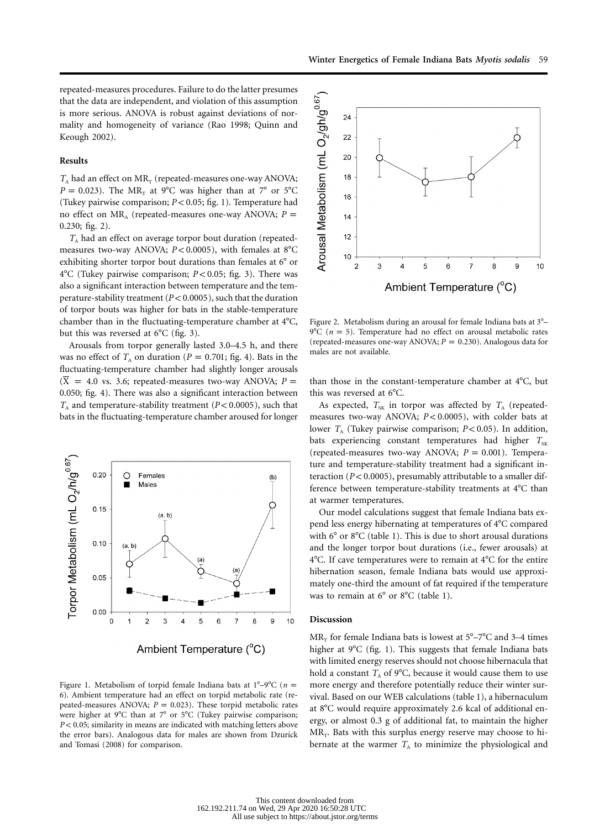repeated-measures procedures. Failure to do the latter presumes that the data are independent, and violation of this assumption is more serious. ANOVA is robust against deviations of normality and homogeneity of variance (Rao 1998; Quinn and Keough 2002).

## **Results**

 $T_A$  had an effect on  $MR_T$  (repeated-measures one-way ANOVA;  $P = 0.023$ ). The MR<sub>T</sub> at 9<sup>o</sup>C was higher than at 7<sup>o</sup> or 5<sup>o</sup>C (Tukey pairwise comparison;  $P < 0.05$ ; fig. 1). Temperature had no effect on  $MR_A$  (repeated-measures one-way ANOVA;  $P =$ 0.230; fig. 2).

 $T_A$  had an effect on average torpor bout duration (repeatedmeasures two-way ANOVA;  $P < 0.0005$ ), with females at 8°C exhibiting shorter torpor bout durations than females at  $6^{\circ}$  or 4°C (Tukey pairwise comparison;  $P < 0.05$ ; fig. 3). There was also a significant interaction between temperature and the temperature-stability treatment ( $P < 0.0005$ ), such that the duration of torpor bouts was higher for bats in the stable-temperature chamber than in the fluctuating-temperature chamber at 4°C, but this was reversed at  $6^{\circ}$ C (fig. 3).

Arousals from torpor generally lasted 3.0–4.5 h, and there was no effect of  $T_A$  on duration ( $P = 0.701$ ; fig. 4). Bats in the fluctuating-temperature chamber had slightly longer arousals  $(\overline{X} = 4.0 \text{ vs. } 3.6; \text{ repeated-measures two-way ANOVA}; P =$ 0.050; fig. 4). There was also a significant interaction between  $T_A$  and temperature-stability treatment ( $P < 0.0005$ ), such that bats in the fluctuating-temperature chamber aroused for longer



Figure 1. Metabolism of torpid female Indiana bats at  $1^{\circ}-9^{\circ}C$  ( $n=$ 6). Ambient temperature had an effect on torpid metabolic rate (repeated-measures ANOVA;  $P = 0.023$ ). These torpid metabolic rates were higher at  $9^{\circ}$ C than at  $7^{\circ}$  or  $5^{\circ}$ C (Tukey pairwise comparison;  $P < 0.05$ ; similarity in means are indicated with matching letters above the error bars). Analogous data for males are shown from Dzurick and Tomasi (2008) for comparison.



Figure 2. Metabolism during an arousal for female Indiana bats at 3–  $9^{\circ}C$  ( $n = 5$ ). Temperature had no effect on arousal metabolic rates (repeated-measures one-way ANOVA;  $P = 0.230$ ). Analogous data for males are not available.

than those in the constant-temperature chamber at  $4^{\circ}C$ , but this was reversed at 6°C.

As expected,  $T_{SK}$  in torpor was affected by  $T_A$  (repeatedmeasures two-way ANOVA;  $P < 0.0005$ ), with colder bats at lower  $T_A$  (Tukey pairwise comparison;  $P < 0.05$ ). In addition, bats experiencing constant temperatures had higher  $T_{SK}$ (repeated-measures two-way ANOVA;  $P = 0.001$ ). Temperature and temperature-stability treatment had a significant interaction ( $P < 0.0005$ ), presumably attributable to a smaller difference between temperature-stability treatments at 4°C than at warmer temperatures.

Our model calculations suggest that female Indiana bats expend less energy hibernating at temperatures of 4°C compared with  $6^{\circ}$  or  $8^{\circ}$ C (table 1). This is due to short arousal durations and the longer torpor bout durations (i.e., fewer arousals) at  $4^{\circ}$ C. If cave temperatures were to remain at  $4^{\circ}$ C for the entire hibernation season, female Indiana bats would use approximately one-third the amount of fat required if the temperature was to remain at  $6^{\circ}$  or  $8^{\circ}$ C (table 1).

#### **Discussion**

 $MR_{\tau}$  for female Indiana bats is lowest at  $5^{\circ}-7^{\circ}C$  and 3–4 times higher at  $9^{\circ}$ C (fig. 1). This suggests that female Indiana bats with limited energy reserves should not choose hibernacula that hold a constant  $T_A$  of 9°C, because it would cause them to use more energy and therefore potentially reduce their winter survival. Based on our WEB calculations (table 1), a hibernaculum at 8C would require approximately 2.6 kcal of additional energy, or almost 0.3 g of additional fat, to maintain the higher  $MR_T$ . Bats with this surplus energy reserve may choose to hibernate at the warmer  $T_A$  to minimize the physiological and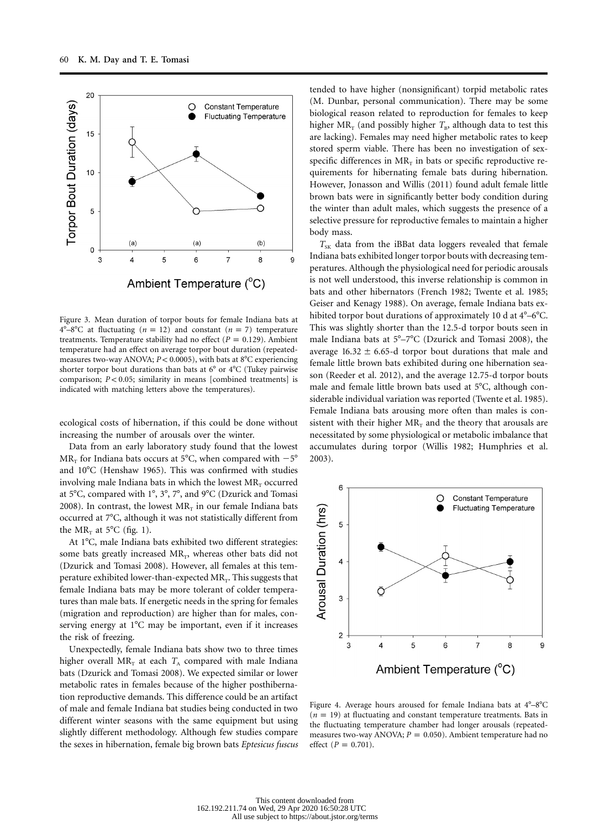

Figure 3. Mean duration of torpor bouts for female Indiana bats at  $4^{\circ}-8^{\circ}$ C at fluctuating  $(n = 12)$  and constant  $(n = 7)$  temperature treatments. Temperature stability had no effect ( $P = 0.129$ ). Ambient temperature had an effect on average torpor bout duration (repeatedmeasures two-way ANOVA;  $P < 0.0005$ ), with bats at  $8^{\circ}$ C experiencing shorter torpor bout durations than bats at  $6^{\circ}$  or  $4^{\circ}$ C (Tukey pairwise comparison;  $P < 0.05$ ; similarity in means [combined treatments] is indicated with matching letters above the temperatures).

ecological costs of hibernation, if this could be done without increasing the number of arousals over the winter.

Data from an early laboratory study found that the lowest  $MR<sub>r</sub>$  for Indiana bats occurs at 5°C, when compared with  $-5^{\circ}$ and 10°C (Henshaw 1965). This was confirmed with studies involving male Indiana bats in which the lowest  $MR_T$  occurred at 5 $\rm ^{o}C$ , compared with 1 $\rm ^{o}$ , 3 $\rm ^{o}$ , 7 $\rm ^{o}$ , and 9 $\rm ^{o}C$  (Dzurick and Tomasi 2008). In contrast, the lowest  $MR_T$  in our female Indiana bats occurred at 7°C, although it was not statistically different from the  $MR_r$  at 5°C (fig. 1).

At 1°C, male Indiana bats exhibited two different strategies: some bats greatly increased  $MR_T$ , whereas other bats did not (Dzurick and Tomasi 2008). However, all females at this temperature exhibited lower-than-expected  $MR_T$ . This suggests that female Indiana bats may be more tolerant of colder temperatures than male bats. If energetic needs in the spring for females (migration and reproduction) are higher than for males, conserving energy at  $1^{\circ}$ C may be important, even if it increases the risk of freezing.

Unexpectedly, female Indiana bats show two to three times higher overall  $MR_T$  at each  $T_A$  compared with male Indiana bats (Dzurick and Tomasi 2008). We expected similar or lower metabolic rates in females because of the higher posthibernation reproductive demands. This difference could be an artifact of male and female Indiana bat studies being conducted in two different winter seasons with the same equipment but using slightly different methodology. Although few studies compare the sexes in hibernation, female big brown bats *Eptesicus fuscus* tended to have higher (nonsignificant) torpid metabolic rates (M. Dunbar, personal communication). There may be some biological reason related to reproduction for females to keep higher  $MR_T$  (and possibly higher  $T_B$ , although data to test this are lacking). Females may need higher metabolic rates to keep stored sperm viable. There has been no investigation of sexspecific differences in  $MR_T$  in bats or specific reproductive requirements for hibernating female bats during hibernation. However, Jonasson and Willis (2011) found adult female little brown bats were in significantly better body condition during the winter than adult males, which suggests the presence of a selective pressure for reproductive females to maintain a higher body mass.

 $T_{SK}$  data from the iBBat data loggers revealed that female Indiana bats exhibited longer torpor bouts with decreasing temperatures. Although the physiological need for periodic arousals is not well understood, this inverse relationship is common in bats and other hibernators (French 1982; Twente et al. 1985; Geiser and Kenagy 1988). On average, female Indiana bats exhibited torpor bout durations of approximately 10 d at 4°-6°C. This was slightly shorter than the 12.5-d torpor bouts seen in male Indiana bats at  $5^{\circ}-7^{\circ}$ C (Dzurick and Tomasi 2008), the average  $16.32 \pm 6.65$ -d torpor bout durations that male and female little brown bats exhibited during one hibernation season (Reeder et al. 2012), and the average 12.75-d torpor bouts male and female little brown bats used at  $5^{\circ}$ C, although considerable individual variation was reported (Twente et al. 1985). Female Indiana bats arousing more often than males is consistent with their higher  $MR_T$  and the theory that arousals are necessitated by some physiological or metabolic imbalance that accumulates during torpor (Willis 1982; Humphries et al. 2003).



Figure 4. Average hours aroused for female Indiana bats at  $4^{\circ}-8^{\circ}$ C  $(n = 19)$  at fluctuating and constant temperature treatments. Bats in the fluctuating temperature chamber had longer arousals (repeatedmeasures two-way ANOVA;  $P = 0.050$ ). Ambient temperature had no effect  $(P = 0.701)$ .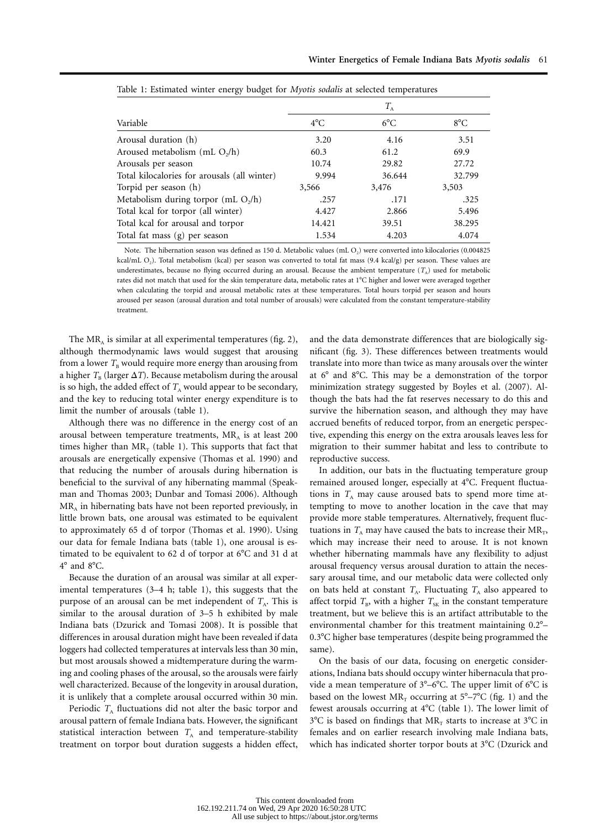| Variable                                     | $T_{\rm A}$  |               |               |
|----------------------------------------------|--------------|---------------|---------------|
|                                              | $4^{\circ}C$ | $6^{\circ}$ C | $8^{\circ}$ C |
| Arousal duration (h)                         | 3.20         | 4.16          | 3.51          |
| Aroused metabolism (mL $O_2/h$ )             | 60.3         | 61.2          | 69.9          |
| Arousals per season                          | 10.74        | 29.82         | 27.72         |
| Total kilocalories for arousals (all winter) | 9.994        | 36.644        | 32.799        |
| Torpid per season (h)                        | 3,566        | 3,476         | 3,503         |
| Metabolism during torpor (mL $O_2/h$ )       | .257         | .171          | .325          |
| Total kcal for torpor (all winter)           | 4.427        | 2.866         | 5.496         |
| Total kcal for arousal and torpor            | 14.421       | 39.51         | 38.295        |
| Total fat mass (g) per season                | 1.534        | 4.203         | 4.074         |

Table 1: Estimated winter energy budget for *Myotis sodalis* at selected temperatures

Note. The hibernation season was defined as 150 d. Metabolic values (mL O<sub>2</sub>) were converted into kilocalories (0.004825 kcal/mL  $O<sub>2</sub>$ ). Total metabolism (kcal) per season was converted to total fat mass (9.4 kcal/g) per season. These values are underestimates, because no flying occurred during an arousal. Because the ambient temperature  $(T_A)$  used for metabolic rates did not match that used for the skin temperature data, metabolic rates at 1°C higher and lower were averaged together when calculating the torpid and arousal metabolic rates at these temperatures. Total hours torpid per season and hours aroused per season (arousal duration and total number of arousals) were calculated from the constant temperature-stability treatment.

The  $MR<sub>a</sub>$  is similar at all experimental temperatures (fig. 2), although thermodynamic laws would suggest that arousing from a lower  $T_B$  would require more energy than arousing from a higher  $T_{\text{B}}$  (larger  $\Delta T$ ). Because metabolism during the arousal is so high, the added effect of  $T_A$  would appear to be secondary, and the key to reducing total winter energy expenditure is to limit the number of arousals (table 1).

Although there was no difference in the energy cost of an arousal between temperature treatments,  $MR_A$  is at least 200 times higher than  $MR_T$  (table 1). This supports that fact that arousals are energetically expensive (Thomas et al. 1990) and that reducing the number of arousals during hibernation is beneficial to the survival of any hibernating mammal (Speakman and Thomas 2003; Dunbar and Tomasi 2006). Although  $MR_A$  in hibernating bats have not been reported previously, in little brown bats, one arousal was estimated to be equivalent to approximately 65 d of torpor (Thomas et al. 1990). Using our data for female Indiana bats (table 1), one arousal is estimated to be equivalent to 62 d of torpor at  $6^{\circ}$ C and 31 d at  $4^\circ$  and  $8^\circ$ C.

Because the duration of an arousal was similar at all experimental temperatures (3–4 h; table 1), this suggests that the purpose of an arousal can be met independent of  $T_A$ . This is similar to the arousal duration of 3–5 h exhibited by male Indiana bats (Dzurick and Tomasi 2008). It is possible that differences in arousal duration might have been revealed if data loggers had collected temperatures at intervals less than 30 min, but most arousals showed a midtemperature during the warming and cooling phases of the arousal, so the arousals were fairly well characterized. Because of the longevity in arousal duration, it is unlikely that a complete arousal occurred within 30 min.

Periodic  $T_A$  fluctuations did not alter the basic torpor and arousal pattern of female Indiana bats. However, the significant statistical interaction between  $T_A$  and temperature-stability treatment on torpor bout duration suggests a hidden effect, and the data demonstrate differences that are biologically significant (fig. 3). These differences between treatments would translate into more than twice as many arousals over the winter at  $6^{\circ}$  and  $8^{\circ}$ C. This may be a demonstration of the torpor minimization strategy suggested by Boyles et al. (2007). Although the bats had the fat reserves necessary to do this and survive the hibernation season, and although they may have accrued benefits of reduced torpor, from an energetic perspective, expending this energy on the extra arousals leaves less for migration to their summer habitat and less to contribute to reproductive success.

In addition, our bats in the fluctuating temperature group remained aroused longer, especially at 4°C. Frequent fluctuations in  $T_A$  may cause aroused bats to spend more time attempting to move to another location in the cave that may provide more stable temperatures. Alternatively, frequent fluctuations in  $T_A$  may have caused the bats to increase their  $MR_T$ , which may increase their need to arouse. It is not known whether hibernating mammals have any flexibility to adjust arousal frequency versus arousal duration to attain the necessary arousal time, and our metabolic data were collected only on bats held at constant  $T_A$ . Fluctuating  $T_A$  also appeared to affect torpid  $T_B$ , with a higher  $T_{SK}$  in the constant temperature treatment, but we believe this is an artifact attributable to the environmental chamber for this treatment maintaining 0.2– 0.3C higher base temperatures (despite being programmed the same).

On the basis of our data, focusing on energetic considerations, Indiana bats should occupy winter hibernacula that provide a mean temperature of  $3^{\circ}-6^{\circ}$ C. The upper limit of 6 $^{\circ}$ C is based on the lowest  $MR_T$  occurring at  $5^{\circ}-7^{\circ}C$  (fig. 1) and the fewest arousals occurring at  $4^{\circ}$ C (table 1). The lower limit of  $3^{\circ}$ C is based on findings that MR<sub>T</sub> starts to increase at  $3^{\circ}$ C in females and on earlier research involving male Indiana bats, which has indicated shorter torpor bouts at 3°C (Dzurick and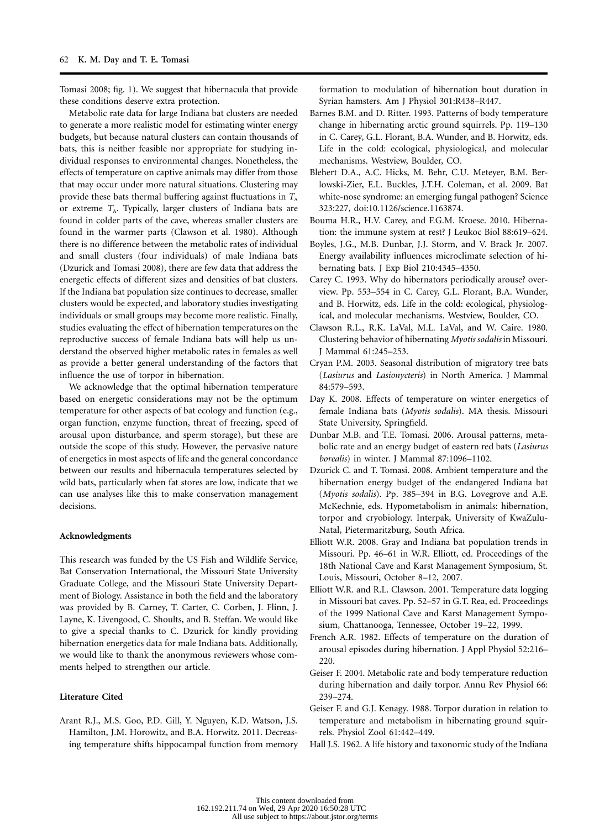Tomasi 2008; fig. 1). We suggest that hibernacula that provide these conditions deserve extra protection.

Metabolic rate data for large Indiana bat clusters are needed to generate a more realistic model for estimating winter energy budgets, but because natural clusters can contain thousands of bats, this is neither feasible nor appropriate for studying individual responses to environmental changes. Nonetheless, the effects of temperature on captive animals may differ from those that may occur under more natural situations. Clustering may provide these bats thermal buffering against fluctuations in  $T_A$ or extreme  $T_A$ . Typically, larger clusters of Indiana bats are found in colder parts of the cave, whereas smaller clusters are found in the warmer parts (Clawson et al. 1980). Although there is no difference between the metabolic rates of individual and small clusters (four individuals) of male Indiana bats (Dzurick and Tomasi 2008), there are few data that address the energetic effects of different sizes and densities of bat clusters. If the Indiana bat population size continues to decrease, smaller clusters would be expected, and laboratory studies investigating individuals or small groups may become more realistic. Finally, studies evaluating the effect of hibernation temperatures on the reproductive success of female Indiana bats will help us understand the observed higher metabolic rates in females as well as provide a better general understanding of the factors that influence the use of torpor in hibernation.

We acknowledge that the optimal hibernation temperature based on energetic considerations may not be the optimum temperature for other aspects of bat ecology and function (e.g., organ function, enzyme function, threat of freezing, speed of arousal upon disturbance, and sperm storage), but these are outside the scope of this study. However, the pervasive nature of energetics in most aspects of life and the general concordance between our results and hibernacula temperatures selected by wild bats, particularly when fat stores are low, indicate that we can use analyses like this to make conservation management decisions.

#### **Acknowledgments**

This research was funded by the US Fish and Wildlife Service, Bat Conservation International, the Missouri State University Graduate College, and the Missouri State University Department of Biology. Assistance in both the field and the laboratory was provided by B. Carney, T. Carter, C. Corben, J. Flinn, J. Layne, K. Livengood, C. Shoults, and B. Steffan. We would like to give a special thanks to C. Dzurick for kindly providing hibernation energetics data for male Indiana bats. Additionally, we would like to thank the anonymous reviewers whose comments helped to strengthen our article.

## **Literature Cited**

Arant R.J., M.S. Goo, P.D. Gill, Y. Nguyen, K.D. Watson, J.S. Hamilton, J.M. Horowitz, and B.A. Horwitz. 2011. Decreasing temperature shifts hippocampal function from memory formation to modulation of hibernation bout duration in Syrian hamsters. Am J Physiol 301:R438–R447.

- Barnes B.M. and D. Ritter. 1993. Patterns of body temperature change in hibernating arctic ground squirrels. Pp. 119–130 in C. Carey, G.L. Florant, B.A. Wunder, and B. Horwitz, eds. Life in the cold: ecological, physiological, and molecular mechanisms. Westview, Boulder, CO.
- Blehert D.A., A.C. Hicks, M. Behr, C.U. Meteyer, B.M. Berlowski-Zier, E.L. Buckles, J.T.H. Coleman, et al. 2009. Bat white-nose syndrome: an emerging fungal pathogen? Science 323:227, doi:10.1126/science.1163874.
- Bouma H.R., H.V. Carey, and F.G.M. Kroese. 2010. Hibernation: the immune system at rest? J Leukoc Biol 88:619–624.
- Boyles, J.G., M.B. Dunbar, J.J. Storm, and V. Brack Jr. 2007. Energy availability influences microclimate selection of hibernating bats. J Exp Biol 210:4345–4350.
- Carey C. 1993. Why do hibernators periodically arouse? overview. Pp. 553–554 in C. Carey, G.L. Florant, B.A. Wunder, and B. Horwitz, eds. Life in the cold: ecological, physiological, and molecular mechanisms. Westview, Boulder, CO.
- Clawson R.L., R.K. LaVal, M.L. LaVal, and W. Caire. 1980. Clustering behavior of hibernating *Myotis sodalis* in Missouri. J Mammal 61:245–253.
- Cryan P.M. 2003. Seasonal distribution of migratory tree bats (*Lasiurus* and *Lasionycteris*) in North America. J Mammal 84:579–593.
- Day K. 2008. Effects of temperature on winter energetics of female Indiana bats (*Myotis sodalis*). MA thesis. Missouri State University, Springfield.
- Dunbar M.B. and T.E. Tomasi. 2006. Arousal patterns, metabolic rate and an energy budget of eastern red bats (*Lasiurus borealis*) in winter. J Mammal 87:1096–1102.
- Dzurick C. and T. Tomasi. 2008. Ambient temperature and the hibernation energy budget of the endangered Indiana bat (*Myotis sodalis*). Pp. 385–394 in B.G. Lovegrove and A.E. McKechnie, eds. Hypometabolism in animals: hibernation, torpor and cryobiology. Interpak, University of KwaZulu-Natal, Pietermaritzburg, South Africa.
- Elliott W.R. 2008. Gray and Indiana bat population trends in Missouri. Pp. 46–61 in W.R. Elliott, ed. Proceedings of the 18th National Cave and Karst Management Symposium, St. Louis, Missouri, October 8–12, 2007.
- Elliott W.R. and R.L. Clawson. 2001. Temperature data logging in Missouri bat caves. Pp. 52–57 in G.T. Rea, ed. Proceedings of the 1999 National Cave and Karst Management Symposium, Chattanooga, Tennessee, October 19–22, 1999.
- French A.R. 1982. Effects of temperature on the duration of arousal episodes during hibernation. J Appl Physiol 52:216– 220.
- Geiser F. 2004. Metabolic rate and body temperature reduction during hibernation and daily torpor. Annu Rev Physiol 66: 239–274.
- Geiser F. and G.J. Kenagy. 1988. Torpor duration in relation to temperature and metabolism in hibernating ground squirrels. Physiol Zool 61:442–449.
- Hall J.S. 1962. A life history and taxonomic study of the Indiana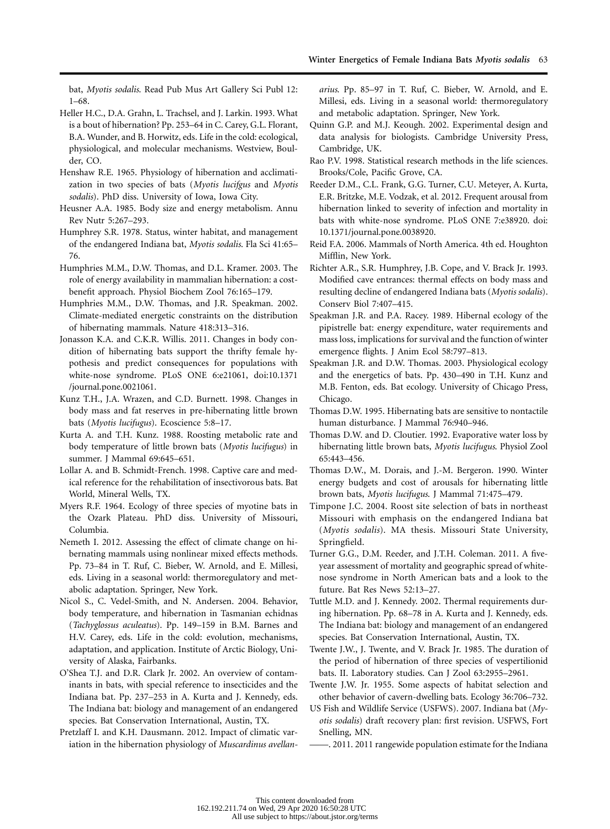bat, *Myotis sodalis*. Read Pub Mus Art Gallery Sci Publ 12: 1–68.

- Heller H.C., D.A. Grahn, L. Trachsel, and J. Larkin. 1993. What is a bout of hibernation? Pp. 253–64 in C. Carey, G.L. Florant, B.A. Wunder, and B. Horwitz, eds. Life in the cold: ecological, physiological, and molecular mechanisms. Westview, Boulder, CO.
- Henshaw R.E. 1965. Physiology of hibernation and acclimatization in two species of bats (*Myotis lucifgus* and *Myotis sodalis*). PhD diss. University of Iowa, Iowa City.
- Heusner A.A. 1985. Body size and energy metabolism. Annu Rev Nutr 5:267–293.
- Humphrey S.R. 1978. Status, winter habitat, and management of the endangered Indiana bat, *Myotis sodalis*. Fla Sci 41:65– 76.
- Humphries M.M., D.W. Thomas, and D.L. Kramer. 2003. The role of energy availability in mammalian hibernation: a costbenefit approach. Physiol Biochem Zool 76:165–179.
- Humphries M.M., D.W. Thomas, and J.R. Speakman. 2002. Climate-mediated energetic constraints on the distribution of hibernating mammals. Nature 418:313–316.
- Jonasson K.A. and C.K.R. Willis. 2011. Changes in body condition of hibernating bats support the thrifty female hypothesis and predict consequences for populations with white-nose syndrome. PLoS ONE 6:e21061, doi:10.1371 /journal.pone.0021061.
- Kunz T.H., J.A. Wrazen, and C.D. Burnett. 1998. Changes in body mass and fat reserves in pre-hibernating little brown bats (*Myotis lucifugus*). Ecoscience 5:8–17.
- Kurta A. and T.H. Kunz. 1988. Roosting metabolic rate and body temperature of little brown bats (*Myotis lucifugus*) in summer. J Mammal 69:645–651.
- Lollar A. and B. Schmidt-French. 1998. Captive care and medical reference for the rehabilitation of insectivorous bats. Bat World, Mineral Wells, TX.
- Myers R.F. 1964. Ecology of three species of myotine bats in the Ozark Plateau. PhD diss. University of Missouri, Columbia.
- Nemeth I. 2012. Assessing the effect of climate change on hibernating mammals using nonlinear mixed effects methods. Pp. 73–84 in T. Ruf, C. Bieber, W. Arnold, and E. Millesi, eds. Living in a seasonal world: thermoregulatory and metabolic adaptation. Springer, New York.
- Nicol S., C. Vedel-Smith, and N. Andersen. 2004. Behavior, body temperature, and hibernation in Tasmanian echidnas (*Tachyglossus aculeatus*). Pp. 149–159 in B.M. Barnes and H.V. Carey, eds. Life in the cold: evolution, mechanisms, adaptation, and application. Institute of Arctic Biology, University of Alaska, Fairbanks.
- O'Shea T.J. and D.R. Clark Jr. 2002. An overview of contaminants in bats, with special reference to insecticides and the Indiana bat. Pp. 237–253 in A. Kurta and J. Kennedy, eds. The Indiana bat: biology and management of an endangered species. Bat Conservation International, Austin, TX.
- Pretzlaff I. and K.H. Dausmann. 2012. Impact of climatic variation in the hibernation physiology of *Muscardinus avellan-*

*arius*. Pp. 85–97 in T. Ruf, C. Bieber, W. Arnold, and E. Millesi, eds. Living in a seasonal world: thermoregulatory and metabolic adaptation. Springer, New York.

- Quinn G.P. and M.J. Keough. 2002. Experimental design and data analysis for biologists. Cambridge University Press, Cambridge, UK.
- Rao P.V. 1998. Statistical research methods in the life sciences. Brooks/Cole, Pacific Grove, CA.
- Reeder D.M., C.L. Frank, G.G. Turner, C.U. Meteyer, A. Kurta, E.R. Britzke, M.E. Vodzak, et al. 2012. Frequent arousal from hibernation linked to severity of infection and mortality in bats with white-nose syndrome. PLoS ONE 7:e38920. doi: 10.1371/journal.pone.0038920.
- Reid F.A. 2006. Mammals of North America. 4th ed. Houghton Mifflin, New York.
- Richter A.R., S.R. Humphrey, J.B. Cope, and V. Brack Jr. 1993. Modified cave entrances: thermal effects on body mass and resulting decline of endangered Indiana bats (*Myotis sodalis*). Conserv Biol 7:407–415.
- Speakman J.R. and P.A. Racey. 1989. Hibernal ecology of the pipistrelle bat: energy expenditure, water requirements and mass loss, implications for survival and the function of winter emergence flights. J Anim Ecol 58:797–813.
- Speakman J.R. and D.W. Thomas. 2003. Physiological ecology and the energetics of bats. Pp. 430–490 in T.H. Kunz and M.B. Fenton, eds. Bat ecology. University of Chicago Press, Chicago.
- Thomas D.W. 1995. Hibernating bats are sensitive to nontactile human disturbance. J Mammal 76:940–946.
- Thomas D.W. and D. Cloutier. 1992. Evaporative water loss by hibernating little brown bats, *Myotis lucifugus*. Physiol Zool 65:443–456.
- Thomas D.W., M. Dorais, and J.-M. Bergeron. 1990. Winter energy budgets and cost of arousals for hibernating little brown bats, *Myotis lucifugus*. J Mammal 71:475–479.
- Timpone J.C. 2004. Roost site selection of bats in northeast Missouri with emphasis on the endangered Indiana bat (*Myotis sodalis*). MA thesis. Missouri State University, Springfield.
- Turner G.G., D.M. Reeder, and J.T.H. Coleman. 2011. A fiveyear assessment of mortality and geographic spread of whitenose syndrome in North American bats and a look to the future. Bat Res News 52:13–27.
- Tuttle M.D. and J. Kennedy. 2002. Thermal requirements during hibernation. Pp. 68–78 in A. Kurta and J. Kennedy, eds. The Indiana bat: biology and management of an endangered species. Bat Conservation International, Austin, TX.
- Twente J.W., J. Twente, and V. Brack Jr. 1985. The duration of the period of hibernation of three species of vespertilionid bats. II. Laboratory studies. Can J Zool 63:2955–2961.
- Twente J.W. Jr. 1955. Some aspects of habitat selection and other behavior of cavern-dwelling bats. Ecology 36:706–732.
- US Fish and Wildlife Service (USFWS). 2007. Indiana bat (*Myotis sodalis*) draft recovery plan: first revision. USFWS, Fort Snelling, MN.
- ——. 2011. 2011 rangewide population estimate for the Indiana